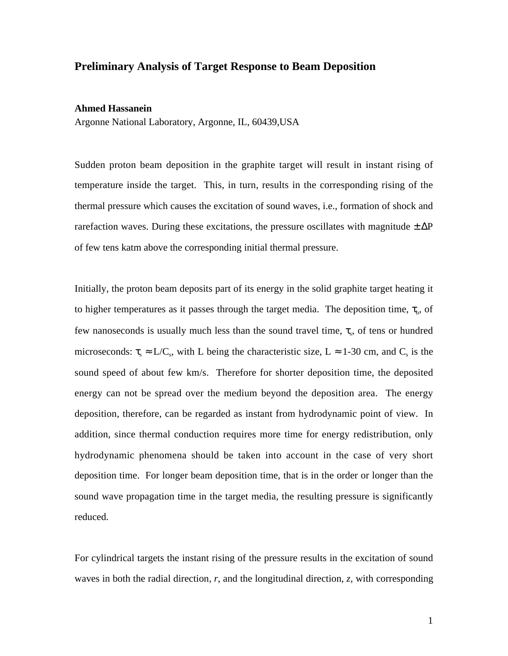## **Preliminary Analysis of Target Response to Beam Deposition**

## **Ahmed Hassanein**

Argonne National Laboratory, Argonne, IL, 60439,USA

Sudden proton beam deposition in the graphite target will result in instant rising of temperature inside the target. This, in turn, results in the corresponding rising of the thermal pressure which causes the excitation of sound waves, i.e., formation of shock and rarefaction waves. During these excitations, the pressure oscillates with magnitude  $\pm \Delta P$ of few tens katm above the corresponding initial thermal pressure.

Initially, the proton beam deposits part of its energy in the solid graphite target heating it to higher temperatures as it passes through the target media. The deposition time,  $\tau_{b}$ , of few nanoseconds is usually much less than the sound travel time,  $\tau_s$ , of tens or hundred microseconds:  $\tau_s \approx L/C_s$ , with L being the characteristic size, L  $\approx 1$ -30 cm, and C<sub>s</sub> is the sound speed of about few km/s. Therefore for shorter deposition time, the deposited energy can not be spread over the medium beyond the deposition area. The energy deposition, therefore, can be regarded as instant from hydrodynamic point of view. In addition, since thermal conduction requires more time for energy redistribution, only hydrodynamic phenomena should be taken into account in the case of very short deposition time. For longer beam deposition time, that is in the order or longer than the sound wave propagation time in the target media, the resulting pressure is significantly reduced.

For cylindrical targets the instant rising of the pressure results in the excitation of sound waves in both the radial direction*, r*, and the longitudinal direction, *z*, with corresponding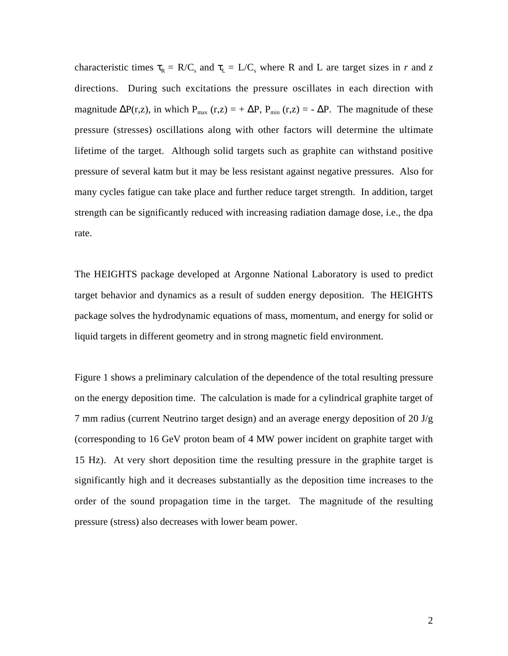characteristic times  $\tau_R = R/C_s$  and  $\tau_L = L/C_s$  where R and L are target sizes in *r* and *z* directions. During such excitations the pressure oscillates in each direction with magnitude  $\Delta P(r,z)$ , in which P<sub>max</sub> (r,z) = +  $\Delta P$ , P<sub>min</sub> (r,z) = -  $\Delta P$ . The magnitude of these pressure (stresses) oscillations along with other factors will determine the ultimate lifetime of the target. Although solid targets such as graphite can withstand positive pressure of several katm but it may be less resistant against negative pressures. Also for many cycles fatigue can take place and further reduce target strength. In addition, target strength can be significantly reduced with increasing radiation damage dose, i.e., the dpa rate.

The HEIGHTS package developed at Argonne National Laboratory is used to predict target behavior and dynamics as a result of sudden energy deposition. The HEIGHTS package solves the hydrodynamic equations of mass, momentum, and energy for solid or liquid targets in different geometry and in strong magnetic field environment.

Figure 1 shows a preliminary calculation of the dependence of the total resulting pressure on the energy deposition time. The calculation is made for a cylindrical graphite target of 7 mm radius (current Neutrino target design) and an average energy deposition of 20 J/g (corresponding to 16 GeV proton beam of 4 MW power incident on graphite target with 15 Hz). At very short deposition time the resulting pressure in the graphite target is significantly high and it decreases substantially as the deposition time increases to the order of the sound propagation time in the target. The magnitude of the resulting pressure (stress) also decreases with lower beam power.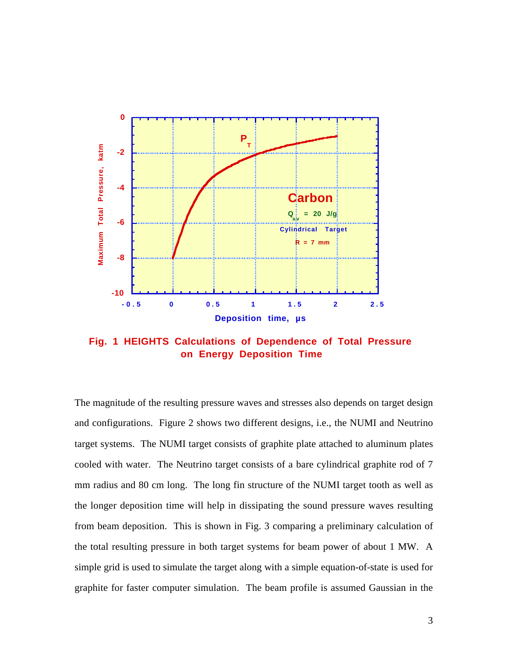

**Fig. 1 HEIGHTS Calculations of Dependence of Total Pressure on Energy Deposition Time**

The magnitude of the resulting pressure waves and stresses also depends on target design and configurations. Figure 2 shows two different designs, i.e., the NUMI and Neutrino target systems. The NUMI target consists of graphite plate attached to aluminum plates cooled with water. The Neutrino target consists of a bare cylindrical graphite rod of 7 mm radius and 80 cm long. The long fin structure of the NUMI target tooth as well as the longer deposition time will help in dissipating the sound pressure waves resulting from beam deposition. This is shown in Fig. 3 comparing a preliminary calculation of the total resulting pressure in both target systems for beam power of about 1 MW. A simple grid is used to simulate the target along with a simple equation-of-state is used for graphite for faster computer simulation. The beam profile is assumed Gaussian in the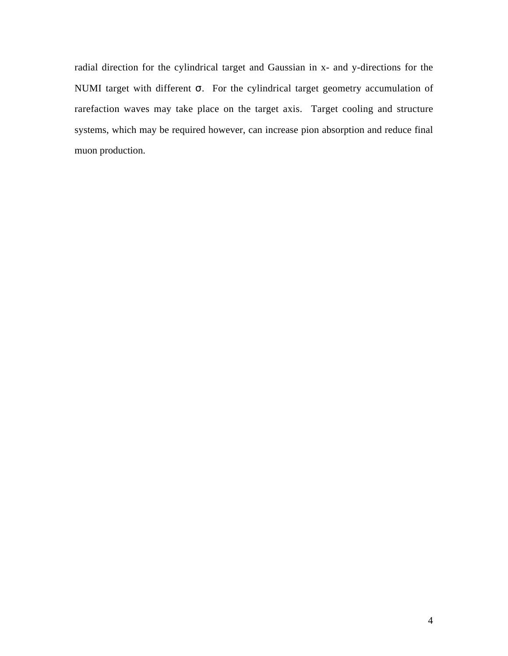radial direction for the cylindrical target and Gaussian in x- and y-directions for the NUMI target with different σ. For the cylindrical target geometry accumulation of rarefaction waves may take place on the target axis. Target cooling and structure systems, which may be required however, can increase pion absorption and reduce final muon production.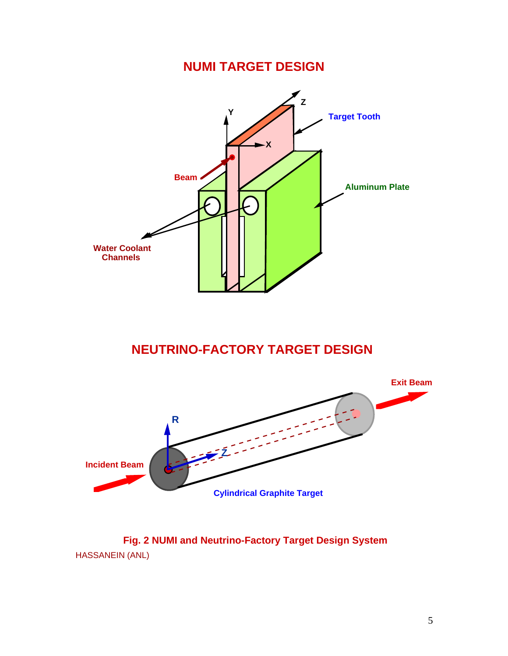## **NUMI TARGET DESIGN**



## **NEUTRINO-FACTORY TARGET DESIGN**



HASSANEIN (ANL) **Fig. 2 NUMI and Neutrino-Factory Target Design System**